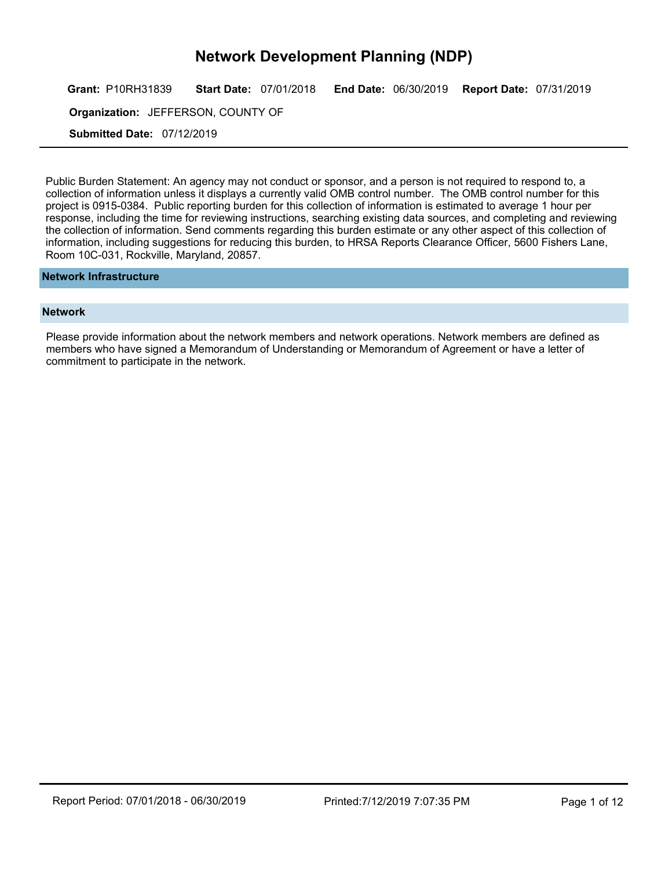Grant: P10RH31839 Start Date: 07/01/2018 End Date: 06/30/2019 Report Date: 07/31/2019

**Organization:** JEFFERSON, COUNTY OF **Example 20** 

Submitted Date: 07/12/2019

Public Burden Statement: An agency may not conduct or sponsor, and a person is not required to respond to, a collection of information unless it displays a currently valid OMB control number. The OMB control number for this project is 0915-0384. Public reporting burden for this collection of information is estimated to average 1 hour per response, including the time for reviewing instructions, searching existing data sources, and completing and reviewing the collection of information. Send comments regarding this burden estimate or any other aspect of this collection of information, including suggestions for reducing this burden, to HRSA Reports Clearance Officer, 5600 Fishers Lane, Room 10C-031, Rockville, Maryland, 20857.

#### Network Infrastructure

#### **Network**

Please provide information about the network members and network operations. Network members are defined as members who have signed a Memorandum of Understanding or Memorandum of Agreement or have a letter of commitment to participate in the network.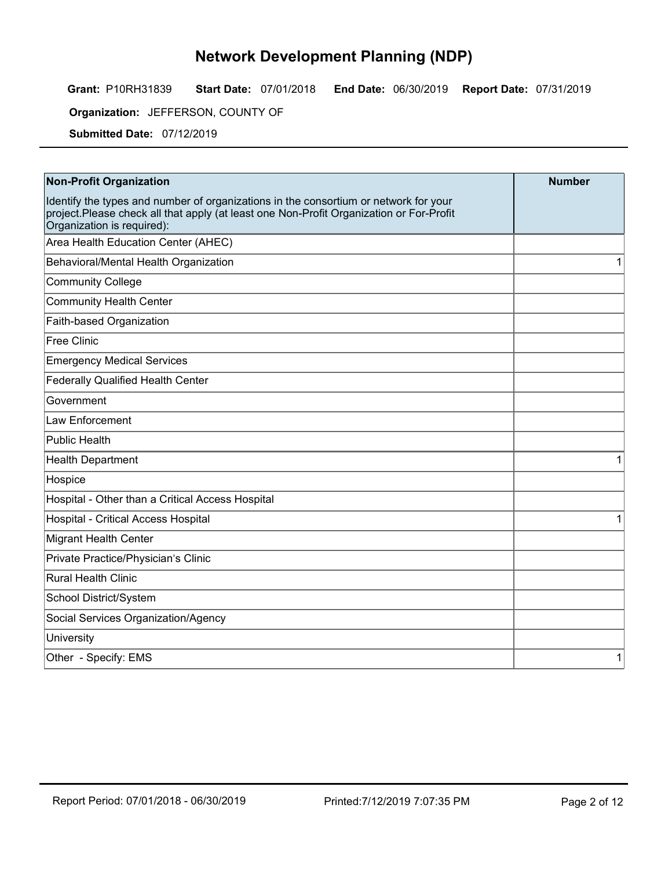Grant: P10RH31839 Start Date: 07/01/2018 End Date: 06/30/2019 Report Date: 07/31/2019

**Organization:** JEFFERSON, COUNTY OF **Example 20** 

Submitted Date: 07/12/2019

| <b>Non-Profit Organization</b>                                                                                                                                                                                | <b>Number</b> |
|---------------------------------------------------------------------------------------------------------------------------------------------------------------------------------------------------------------|---------------|
| Identify the types and number of organizations in the consortium or network for your<br>project.Please check all that apply (at least one Non-Profit Organization or For-Profit<br>Organization is required): |               |
| Area Health Education Center (AHEC)                                                                                                                                                                           |               |
| Behavioral/Mental Health Organization                                                                                                                                                                         |               |
| <b>Community College</b>                                                                                                                                                                                      |               |
| <b>Community Health Center</b>                                                                                                                                                                                |               |
| Faith-based Organization                                                                                                                                                                                      |               |
| Free Clinic                                                                                                                                                                                                   |               |
| <b>Emergency Medical Services</b>                                                                                                                                                                             |               |
| <b>Federally Qualified Health Center</b>                                                                                                                                                                      |               |
| Government                                                                                                                                                                                                    |               |
| Law Enforcement                                                                                                                                                                                               |               |
| <b>Public Health</b>                                                                                                                                                                                          |               |
| <b>Health Department</b>                                                                                                                                                                                      |               |
| Hospice                                                                                                                                                                                                       |               |
| Hospital - Other than a Critical Access Hospital                                                                                                                                                              |               |
| Hospital - Critical Access Hospital                                                                                                                                                                           |               |
| Migrant Health Center                                                                                                                                                                                         |               |
| Private Practice/Physician's Clinic                                                                                                                                                                           |               |
| Rural Health Clinic                                                                                                                                                                                           |               |
| School District/System                                                                                                                                                                                        |               |
| Social Services Organization/Agency                                                                                                                                                                           |               |
| University                                                                                                                                                                                                    |               |
| Other - Specify: EMS                                                                                                                                                                                          |               |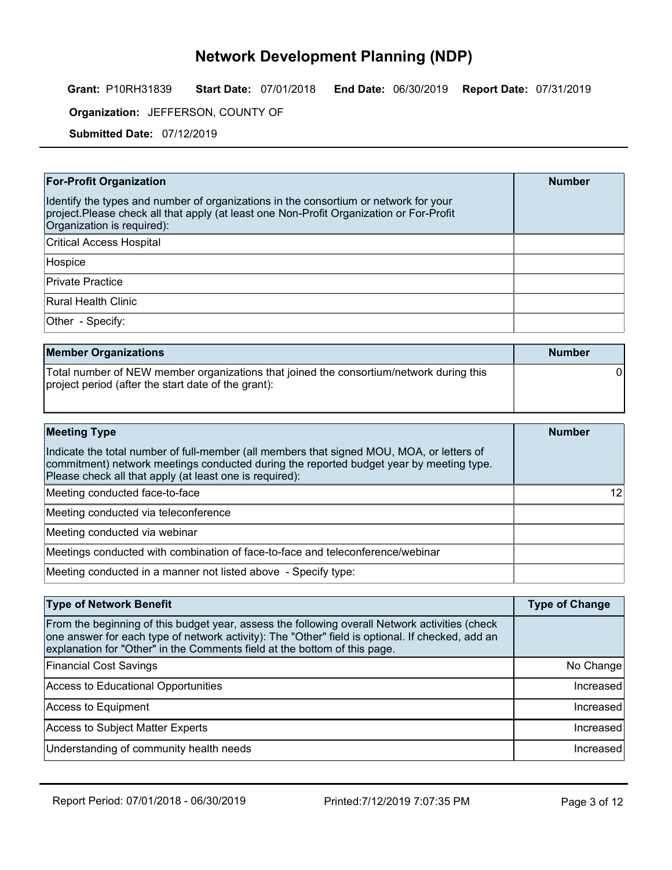Grant: P10RH31839 Start Date: 07/01/2018 End Date: 06/30/2019 Report Date: 07/31/2019

**Organization:** JEFFERSON, COUNTY OF **Example 20** 

Submitted Date: 07/12/2019

| <b>For-Profit Organization</b>                                                                                                                                                                                 | <b>Number</b> |
|----------------------------------------------------------------------------------------------------------------------------------------------------------------------------------------------------------------|---------------|
| Identify the types and number of organizations in the consortium or network for your<br>project. Please check all that apply (at least one Non-Profit Organization or For-Profit<br>Organization is required): |               |
| <b>Critical Access Hospital</b>                                                                                                                                                                                |               |
| Hospice                                                                                                                                                                                                        |               |
| Private Practice                                                                                                                                                                                               |               |
| Rural Health Clinic                                                                                                                                                                                            |               |
| Other - Specify:                                                                                                                                                                                               |               |

| <b>Member Organizations</b>                                                                                                                    | <b>Number</b> |
|------------------------------------------------------------------------------------------------------------------------------------------------|---------------|
| Total number of NEW member organizations that joined the consortium/network during this<br>project period (after the start date of the grant): |               |

| <b>Meeting Type</b>                                                                                                                                                                                                                             | <b>Number</b> |
|-------------------------------------------------------------------------------------------------------------------------------------------------------------------------------------------------------------------------------------------------|---------------|
| Indicate the total number of full-member (all members that signed MOU, MOA, or letters of<br>commitment) network meetings conducted during the reported budget year by meeting type.<br>Please check all that apply (at least one is required): |               |
| Meeting conducted face-to-face                                                                                                                                                                                                                  |               |
| Meeting conducted via teleconference                                                                                                                                                                                                            |               |
| Meeting conducted via webinar                                                                                                                                                                                                                   |               |
| Meetings conducted with combination of face-to-face and teleconference/webinar                                                                                                                                                                  |               |
| Meeting conducted in a manner not listed above - Specify type:                                                                                                                                                                                  |               |

| <b>Type of Network Benefit</b>                                                                                                                                                                                                                                                  | <b>Type of Change</b> |
|---------------------------------------------------------------------------------------------------------------------------------------------------------------------------------------------------------------------------------------------------------------------------------|-----------------------|
| From the beginning of this budget year, assess the following overall Network activities (check<br>one answer for each type of network activity): The "Other" field is optional. If checked, add an<br>explanation for "Other" in the Comments field at the bottom of this page. |                       |
| <b>Financial Cost Savings</b>                                                                                                                                                                                                                                                   | No Change             |
| Access to Educational Opportunities                                                                                                                                                                                                                                             | Increased             |
| Access to Equipment                                                                                                                                                                                                                                                             | Increased             |
| Access to Subject Matter Experts                                                                                                                                                                                                                                                | Increased             |
| Understanding of community health needs                                                                                                                                                                                                                                         | Increased             |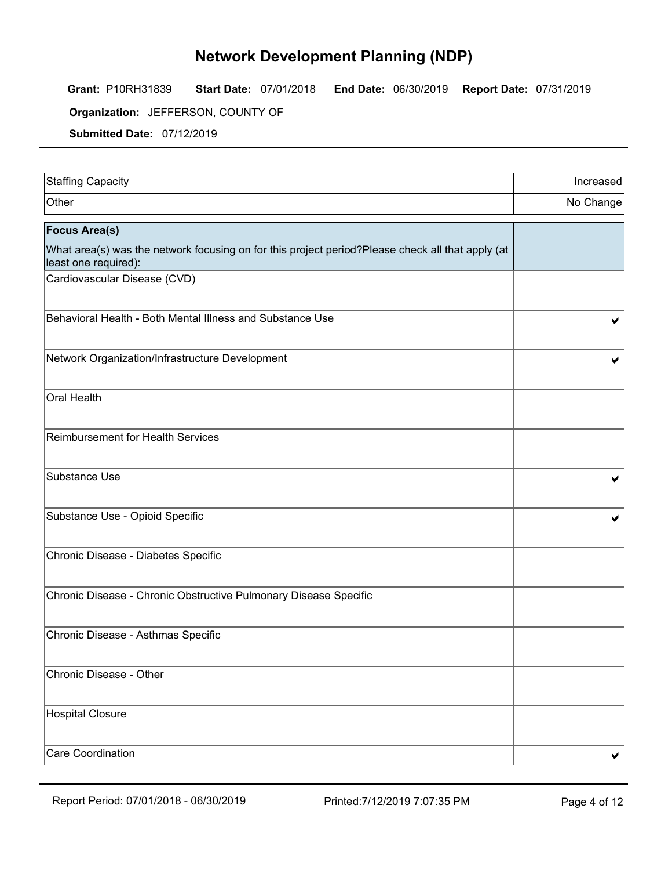Grant: P10RH31839 Start Date: 07/01/2018 End Date: 06/30/2019 Report Date: 07/31/2019

**Organization:** JEFFERSON, COUNTY OF **Example 20** 

Submitted Date: 07/12/2019

| Staffing Capacity                                                                                                        | Increased |
|--------------------------------------------------------------------------------------------------------------------------|-----------|
| Other                                                                                                                    | No Change |
| <b>Focus Area(s)</b>                                                                                                     |           |
| What area(s) was the network focusing on for this project period?Please check all that apply (at<br>least one required): |           |
| Cardiovascular Disease (CVD)                                                                                             |           |
| Behavioral Health - Both Mental Illness and Substance Use                                                                |           |
| Network Organization/Infrastructure Development                                                                          |           |
| Oral Health                                                                                                              |           |
| <b>Reimbursement for Health Services</b>                                                                                 |           |
| Substance Use                                                                                                            |           |
| Substance Use - Opioid Specific                                                                                          |           |
| Chronic Disease - Diabetes Specific                                                                                      |           |
| Chronic Disease - Chronic Obstructive Pulmonary Disease Specific                                                         |           |
| Chronic Disease - Asthmas Specific                                                                                       |           |
| Chronic Disease - Other                                                                                                  |           |
| Hospital Closure                                                                                                         |           |
| Care Coordination                                                                                                        | ✔         |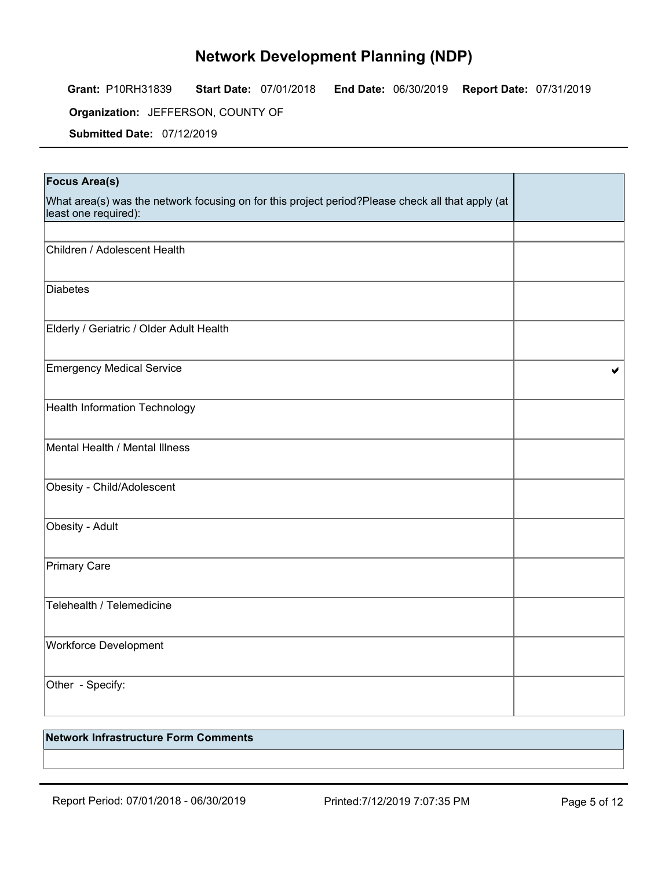Grant: P10RH31839 Start Date: 07/01/2018 End Date: 06/30/2019 Report Date: 07/31/2019

**Organization:** JEFFERSON, COUNTY OF **Example 20** 

Submitted Date: 07/12/2019

| <b>Focus Area(s)</b>                                                                                                     |   |
|--------------------------------------------------------------------------------------------------------------------------|---|
| What area(s) was the network focusing on for this project period?Please check all that apply (at<br>least one required): |   |
|                                                                                                                          |   |
| Children / Adolescent Health                                                                                             |   |
| <b>Diabetes</b>                                                                                                          |   |
| Elderly / Geriatric / Older Adult Health                                                                                 |   |
| <b>Emergency Medical Service</b>                                                                                         | ✔ |
| Health Information Technology                                                                                            |   |
| Mental Health / Mental Illness                                                                                           |   |
| Obesity - Child/Adolescent                                                                                               |   |
| Obesity - Adult                                                                                                          |   |
| <b>Primary Care</b>                                                                                                      |   |
| Telehealth / Telemedicine                                                                                                |   |
| Workforce Development                                                                                                    |   |
| Other - Specify:                                                                                                         |   |

### Network Infrastructure Form Comments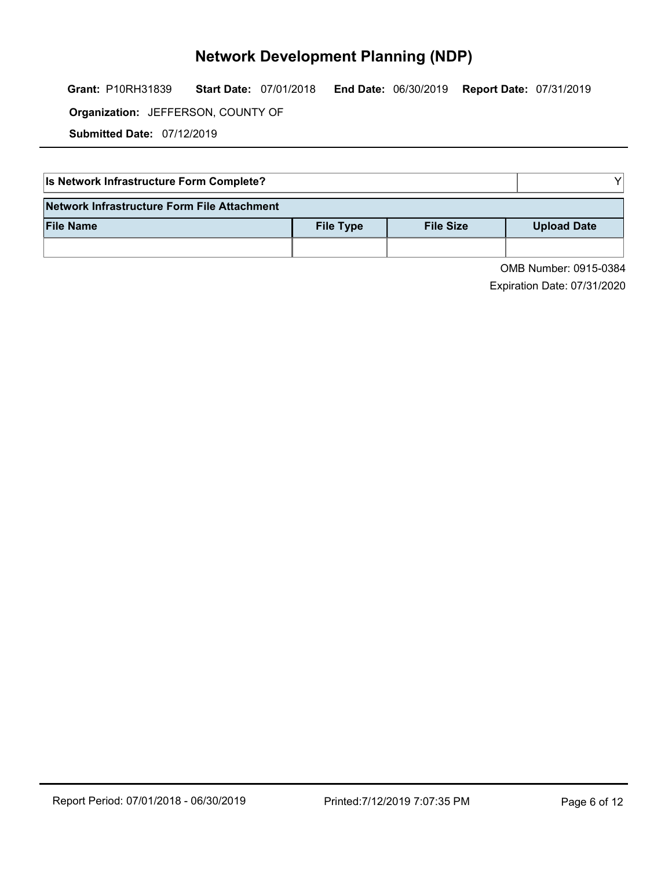Grant: P10RH31839 Start Date: 07/01/2018 End Date: 06/30/2019 Report Date: 07/31/2019

**Organization:** JEFFERSON, COUNTY OF **Example 20** 

Submitted Date: 07/12/2019

| Is Network Infrastructure Form Complete?    |                  |                  |                    |
|---------------------------------------------|------------------|------------------|--------------------|
| Network Infrastructure Form File Attachment |                  |                  |                    |
| <b>File Name</b>                            | <b>File Type</b> | <b>File Size</b> | <b>Upload Date</b> |
|                                             |                  |                  |                    |

OMB Number: 0915-0384 Expiration Date: 07/31/2020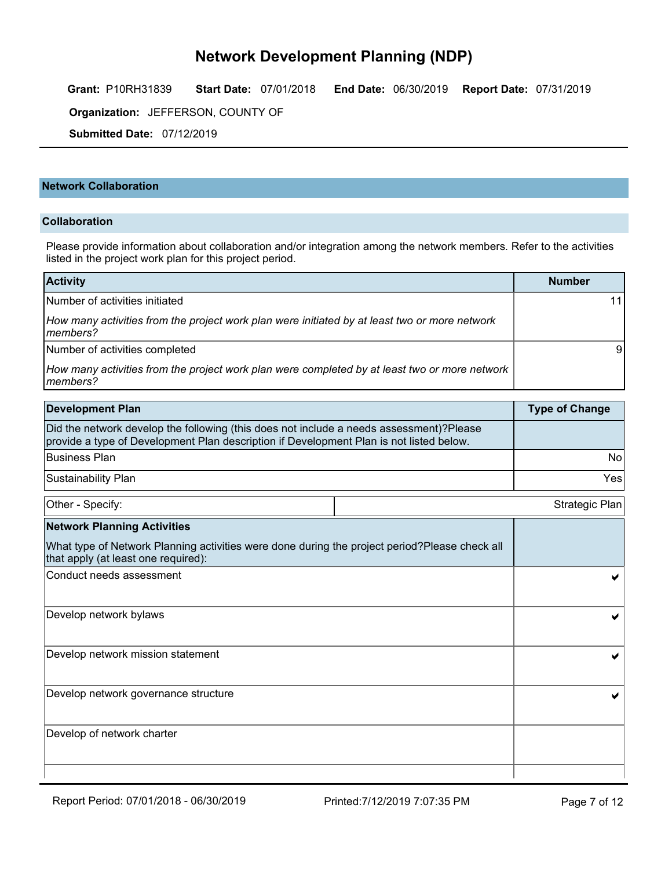Grant: P10RH31839 Start Date: 07/01/2018 End Date: 06/30/2019 Report Date: 07/31/2019

**Organization:** JEFFERSON, COUNTY OF **Example 20** 

Submitted Date: 07/12/2019

#### Network Collaboration

#### Collaboration

Please provide information about collaboration and/or integration among the network members. Refer to the activities listed in the project work plan for this project period.

| <b>Activity</b>                                                                                            | <b>Number</b> |  |
|------------------------------------------------------------------------------------------------------------|---------------|--|
| Number of activities initiated                                                                             | 11            |  |
| How many activities from the project work plan were initiated by at least two or more network<br>Imembers? |               |  |
| Number of activities completed                                                                             |               |  |
| How many activities from the project work plan were completed by at least two or more network<br>Imembers? |               |  |

| Development Plan                                                                                                                                                                   | <b>Type of Change</b> |
|------------------------------------------------------------------------------------------------------------------------------------------------------------------------------------|-----------------------|
| Did the network develop the following (this does not include a needs assessment)?Please<br>provide a type of Development Plan description if Development Plan is not listed below. |                       |
| Business Plan                                                                                                                                                                      | No                    |
| <b>Sustainability Plan</b>                                                                                                                                                         | Yesi                  |

| Other - Specify:                                                                                                                     | Strategic Plan |  |
|--------------------------------------------------------------------------------------------------------------------------------------|----------------|--|
| <b>Network Planning Activities</b>                                                                                                   |                |  |
| What type of Network Planning activities were done during the project period?Please check all<br>that apply (at least one required): |                |  |
| Conduct needs assessment                                                                                                             |                |  |
| Develop network bylaws                                                                                                               |                |  |
| Develop network mission statement                                                                                                    |                |  |
| Develop network governance structure                                                                                                 |                |  |
| Develop of network charter                                                                                                           |                |  |
|                                                                                                                                      |                |  |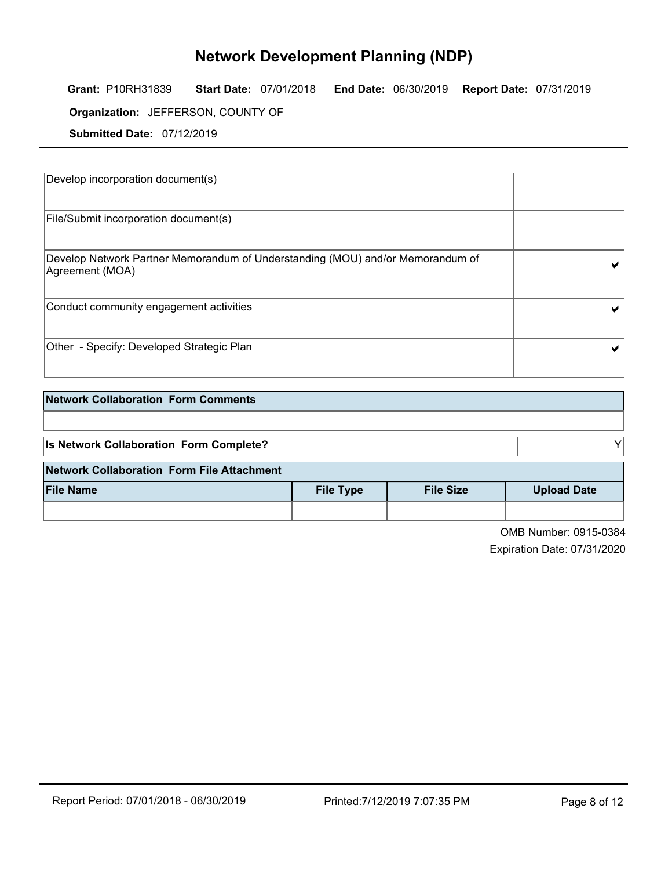Grant: P10RH31839 Start Date: 07/01/2018 End Date: 06/30/2019 Report Date: 07/31/2019

**Organization:** JEFFERSON, COUNTY OF **Example 20** 

Submitted Date: 07/12/2019

| Develop incorporation document(s)                                                                 |  |
|---------------------------------------------------------------------------------------------------|--|
| File/Submit incorporation document(s)                                                             |  |
| Develop Network Partner Memorandum of Understanding (MOU) and/or Memorandum of<br>Agreement (MOA) |  |
| Conduct community engagement activities                                                           |  |
| Other - Specify: Developed Strategic Plan                                                         |  |

| <b>Network Collaboration Form Comments</b> |                  |                  |                             |  |
|--------------------------------------------|------------------|------------------|-----------------------------|--|
|                                            |                  |                  |                             |  |
| Is Network Collaboration Form Complete?    |                  |                  |                             |  |
| Network Collaboration Form File Attachment |                  |                  |                             |  |
| <b>File Name</b>                           | <b>File Type</b> | <b>File Size</b> | <b>Upload Date</b>          |  |
|                                            |                  |                  |                             |  |
|                                            |                  |                  | $QMD$ M $\sim$ $QQAP$ $QQQ$ |  |

OMB Number: 0915-0384 Expiration Date: 07/31/2020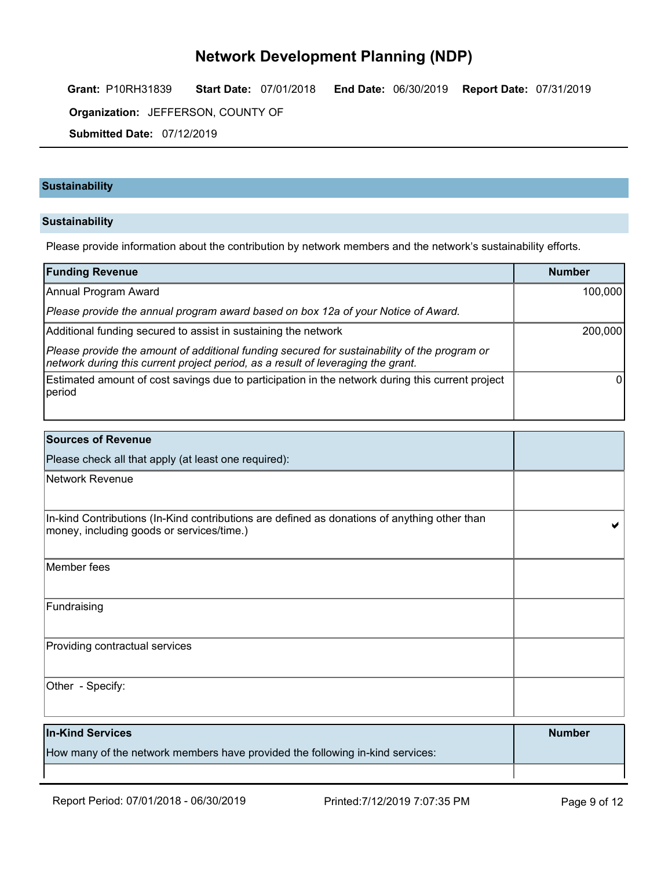Grant: P10RH31839 Start Date: 07/01/2018 End Date: 06/30/2019 Report Date: 07/31/2019

**Organization:** JEFFERSON, COUNTY OF **Example 20** 

Submitted Date: 07/12/2019

#### **Sustainability**

#### Sustainability

Please provide information about the contribution by network members and the network's sustainability efforts.

| <b>Funding Revenue</b>                                                                                                                                                           | <b>Number</b> |
|----------------------------------------------------------------------------------------------------------------------------------------------------------------------------------|---------------|
| Annual Program Award                                                                                                                                                             | 100,000       |
| Please provide the annual program award based on box 12a of your Notice of Award.                                                                                                |               |
| Additional funding secured to assist in sustaining the network                                                                                                                   | 200,000       |
| Please provide the amount of additional funding secured for sustainability of the program or<br>network during this current project period, as a result of leveraging the grant. |               |
| Estimated amount of cost savings due to participation in the network during this current project<br><b>I</b> period                                                              |               |
|                                                                                                                                                                                  |               |

| <b>Sources of Revenue</b>                                                                                                                 |  |
|-------------------------------------------------------------------------------------------------------------------------------------------|--|
| Please check all that apply (at least one required):                                                                                      |  |
| Network Revenue                                                                                                                           |  |
| In-kind Contributions (In-Kind contributions are defined as donations of anything other than<br>money, including goods or services/time.) |  |
| Member fees                                                                                                                               |  |
| Fundraising                                                                                                                               |  |
| Providing contractual services                                                                                                            |  |
| Other - Specify:                                                                                                                          |  |

| <b>In-Kind Services</b>                                                       | <b>Number</b> |
|-------------------------------------------------------------------------------|---------------|
| How many of the network members have provided the following in-kind services: |               |
|                                                                               |               |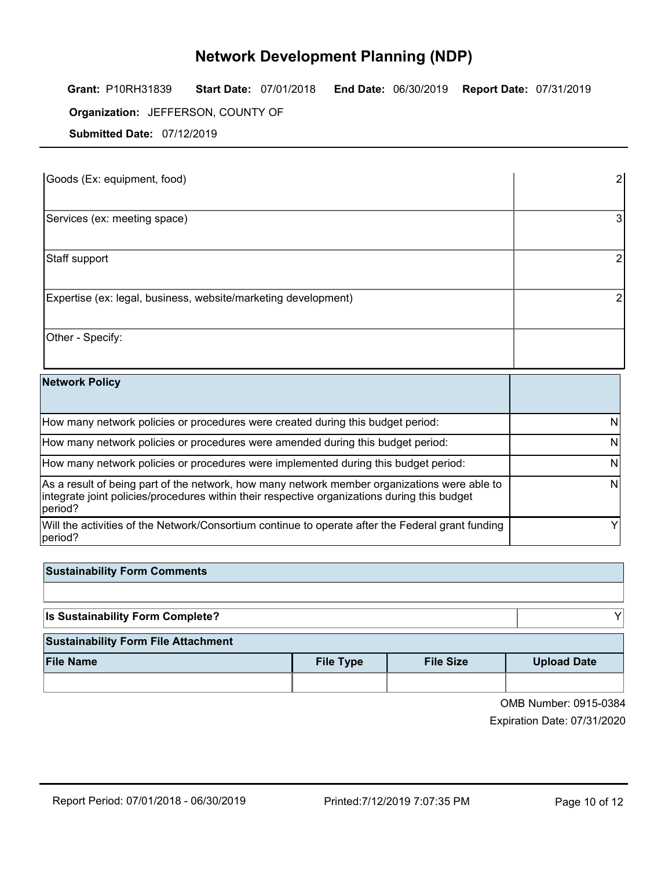Grant: P10RH31839 Start Date: 07/01/2018 End Date: 06/30/2019 Report Date: 07/31/2019

**Organization:** JEFFERSON, COUNTY OF **Example 20** 

Submitted Date: 07/12/2019

| $3000$ must ball $\frac{1}{2}$ and $\frac{1}{2}$ and $\frac{1}{2}$                                                                                                                                      |   |
|---------------------------------------------------------------------------------------------------------------------------------------------------------------------------------------------------------|---|
| Goods (Ex: equipment, food)                                                                                                                                                                             |   |
| Services (ex: meeting space)                                                                                                                                                                            |   |
| Staff support                                                                                                                                                                                           |   |
| Expertise (ex: legal, business, website/marketing development)                                                                                                                                          |   |
| Other - Specify:                                                                                                                                                                                        |   |
| <b>Network Policy</b>                                                                                                                                                                                   |   |
| How many network policies or procedures were created during this budget period:                                                                                                                         | N |
| How many network policies or procedures were amended during this budget period:                                                                                                                         | N |
| How many network policies or procedures were implemented during this budget period:                                                                                                                     | N |
| As a result of being part of the network, how many network member organizations were able to<br>integrate joint policies/procedures within their respective organizations during this budget<br>period? | N |
| Will the activities of the Network/Consortium continue to operate after the Federal grant funding                                                                                                       |   |

| <b>Network Policy</b>                                                                                                                                                                                    |  |
|----------------------------------------------------------------------------------------------------------------------------------------------------------------------------------------------------------|--|
| How many network policies or procedures were created during this budget period:                                                                                                                          |  |
| How many network policies or procedures were amended during this budget period:                                                                                                                          |  |
| How many network policies or procedures were implemented during this budget period:                                                                                                                      |  |
| As a result of being part of the network, how many network member organizations were able to<br>integrate joint policies/procedures within their respective organizations during this budget<br> period? |  |
| Will the activities of the Network/Consortium continue to operate after the Federal grant funding<br> period?                                                                                            |  |

| <b>Sustainability Form Comments</b>     |                  |                  |                    |
|-----------------------------------------|------------------|------------------|--------------------|
|                                         |                  |                  |                    |
| <b>Is Sustainability Form Complete?</b> |                  |                  |                    |
| Sustainability Form File Attachment     |                  |                  |                    |
| <b>File Name</b>                        | <b>File Type</b> | <b>File Size</b> | <b>Upload Date</b> |

| OMB Number: 0915-0384 |  |
|-----------------------|--|
|                       |  |

Expiration Date: 07/31/2020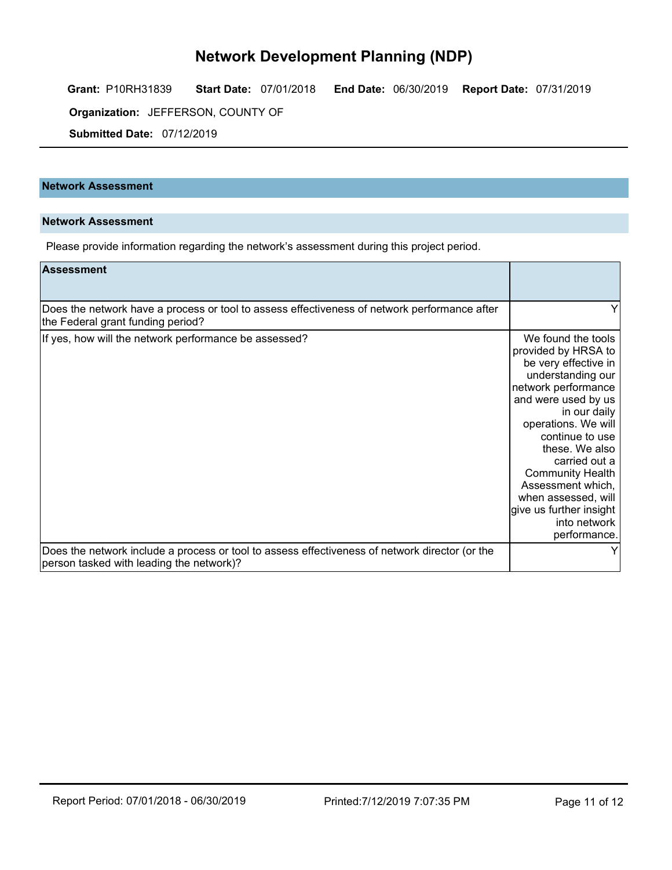Grant: P10RH31839 Start Date: 07/01/2018 End Date: 06/30/2019 Report Date: 07/31/2019

**Organization:** JEFFERSON, COUNTY OF **Example 20** 

Submitted Date: 07/12/2019

#### Network Assessment

#### Network Assessment

Please provide information regarding the network's assessment during this project period.

| <b>Assessment</b>                                                                                                                          |                                                                                                                                                                                                                                                                                                                                                                     |
|--------------------------------------------------------------------------------------------------------------------------------------------|---------------------------------------------------------------------------------------------------------------------------------------------------------------------------------------------------------------------------------------------------------------------------------------------------------------------------------------------------------------------|
| Does the network have a process or tool to assess effectiveness of network performance after<br>the Federal grant funding period?          |                                                                                                                                                                                                                                                                                                                                                                     |
| If yes, how will the network performance be assessed?                                                                                      | We found the tools<br>provided by HRSA to<br>be very effective in<br>understanding our<br>network performance<br>and were used by us<br>in our daily<br>operations. We will<br>continue to use<br>these. We also<br>carried out a<br><b>Community Health</b><br>Assessment which,<br>when assessed, will<br>give us further insight<br>into network<br>performance. |
| Does the network include a process or tool to assess effectiveness of network director (or the<br>person tasked with leading the network)? |                                                                                                                                                                                                                                                                                                                                                                     |